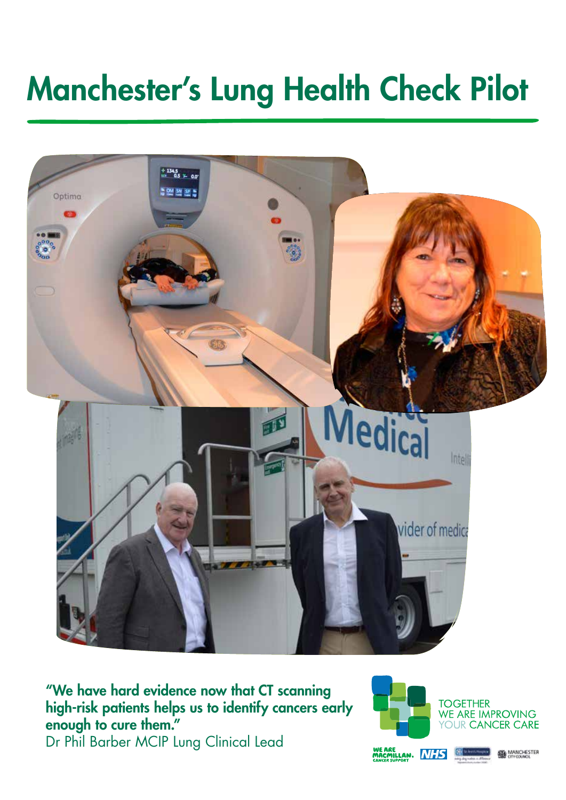# Manchester's Lung Health Check Pilot



"We have hard evidence now that CT scanning high-risk patients helps us to identify cancers early enough to cure them." Dr Phil Barber MCIP Lung Clinical Lead

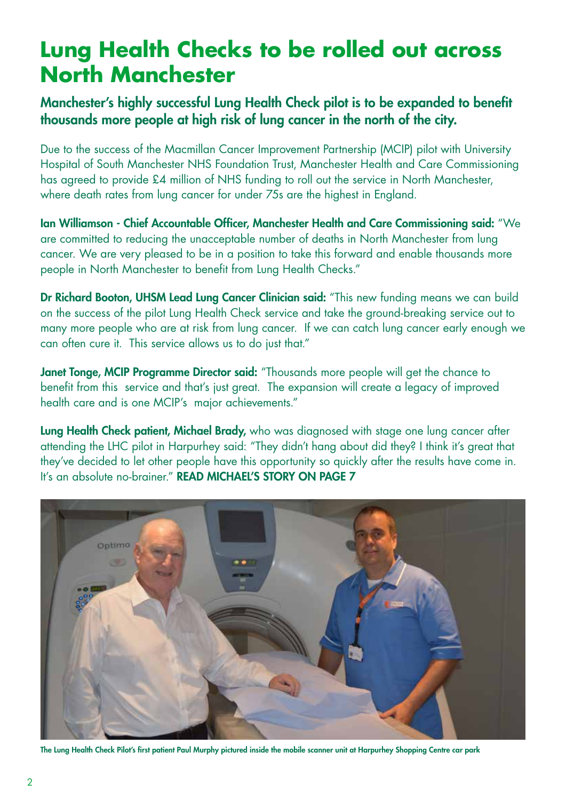### **Lung Health Checks to be rolled out across North Manchester**

### Manchester's highly successful Lung Health Check pilot is to be expanded to benefit thousands more people at high risk of lung cancer in the north of the city.

Due to the success of the Macmillan Cancer Improvement Partnership (MCIP) pilot with University Hospital of South Manchester NHS Foundation Trust, Manchester Health and Care Commissioning has agreed to provide £4 million of NHS funding to roll out the service in North Manchester, where death rates from lung cancer for under 75s are the highest in England.

Ian Williamson - Chief Accountable Officer, Manchester Health and Care Commissioning said: "We are committed to reducing the unacceptable number of deaths in North Manchester from lung cancer. We are very pleased to be in a position to take this forward and enable thousands more people in North Manchester to benefit from Lung Health Checks."

Dr Richard Booton, UHSM Lead Lung Cancer Clinician said: "This new funding means we can build on the success of the pilot Lung Health Check service and take the ground-breaking service out to many more people who are at risk from lung cancer. If we can catch lung cancer early enough we can often cure it. This service allows us to do just that."

Janet Tonge, MCIP Programme Director said: "Thousands more people will get the chance to benefit from this service and that's just great. The expansion will create a legacy of improved health care and is one MCIP's major achievements."

Lung Health Check patient, Michael Brady, who was diagnosed with stage one lung cancer after attending the LHC pilot in Harpurhey said: "They didn't hang about did they? I think it's great that they've decided to let other people have this opportunity so quickly after the results have come in. It's an absolute no-brainer." READ MICHAEL'S STORY ON PAGE 7



The Lung Health Check Pilot's first patient Paul Murphy pictured inside the mobile scanner unit at Harpurhey Shopping Centre car park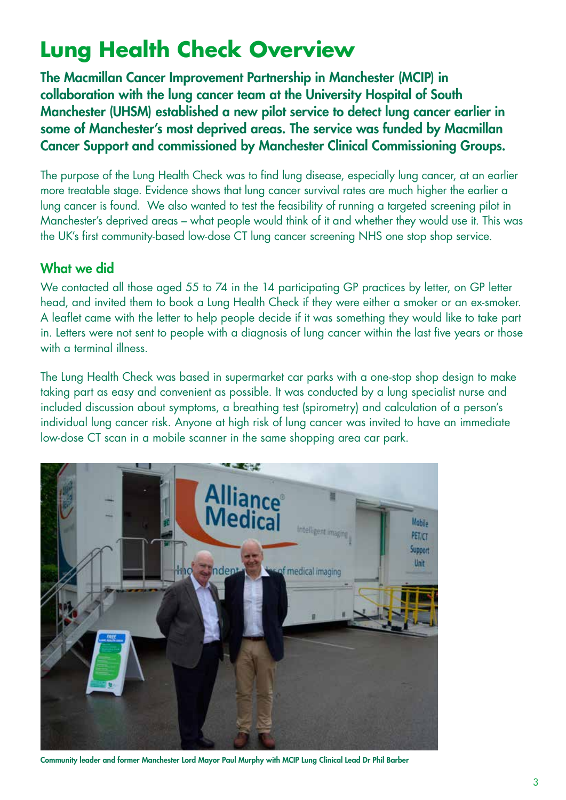## **Lung Health Check Overview**

The Macmillan Cancer Improvement Partnership in Manchester (MCIP) in collaboration with the lung cancer team at the University Hospital of South Manchester (UHSM) established a new pilot service to detect lung cancer earlier in some of Manchester's most deprived areas. The service was funded by Macmillan Cancer Support and commissioned by Manchester Clinical Commissioning Groups.

The purpose of the Lung Health Check was to find lung disease, especially lung cancer, at an earlier more treatable stage. Evidence shows that lung cancer survival rates are much higher the earlier a lung cancer is found. We also wanted to test the feasibility of running a targeted screening pilot in Manchester's deprived areas – what people would think of it and whether they would use it. This was the UK's first community-based low-dose CT lung cancer screening NHS one stop shop service.

### What we did

We contacted all those aged 55 to 74 in the 14 participating GP practices by letter, on GP letter head, and invited them to book a Lung Health Check if they were either a smoker or an ex-smoker. A leaflet came with the letter to help people decide if it was something they would like to take part in. Letters were not sent to people with a diagnosis of lung cancer within the last five years or those with a terminal illness.

The Lung Health Check was based in supermarket car parks with a one-stop shop design to make taking part as easy and convenient as possible. It was conducted by a lung specialist nurse and included discussion about symptoms, a breathing test (spirometry) and calculation of a person's individual lung cancer risk. Anyone at high risk of lung cancer was invited to have an immediate low-dose CT scan in a mobile scanner in the same shopping area car park.



Community leader and former Manchester Lord Mayor Paul Murphy with MCIP Lung Clinical Lead Dr Phil Barber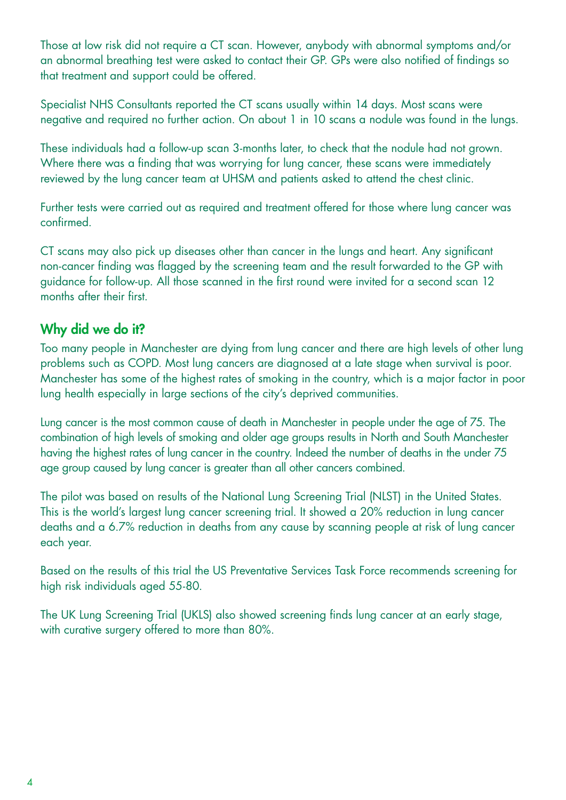Those at low risk did not require a CT scan. However, anybody with abnormal symptoms and/or an abnormal breathing test were asked to contact their GP. GPs were also notified of findings so that treatment and support could be offered.

Specialist NHS Consultants reported the CT scans usually within 14 days. Most scans were negative and required no further action. On about 1 in 10 scans a nodule was found in the lungs.

These individuals had a follow-up scan 3-months later, to check that the nodule had not grown. Where there was a finding that was worrying for lung cancer, these scans were immediately reviewed by the lung cancer team at UHSM and patients asked to attend the chest clinic.

Further tests were carried out as required and treatment offered for those where lung cancer was confirmed.

CT scans may also pick up diseases other than cancer in the lungs and heart. Any significant non-cancer finding was flagged by the screening team and the result forwarded to the GP with guidance for follow-up. All those scanned in the first round were invited for a second scan 12 months after their first.

### Why did we do it?

Too many people in Manchester are dying from lung cancer and there are high levels of other lung problems such as COPD. Most lung cancers are diagnosed at a late stage when survival is poor. Manchester has some of the highest rates of smoking in the country, which is a major factor in poor lung health especially in large sections of the city's deprived communities.

Lung cancer is the most common cause of death in Manchester in people under the age of 75. The combination of high levels of smoking and older age groups results in North and South Manchester having the highest rates of lung cancer in the country. Indeed the number of deaths in the under 75 age group caused by lung cancer is greater than all other cancers combined.

The pilot was based on results of the National Lung Screening Trial (NLST) in the United States. This is the world's largest lung cancer screening trial. It showed a 20% reduction in lung cancer deaths and a 6.7% reduction in deaths from any cause by scanning people at risk of lung cancer each year.

Based on the results of this trial the US Preventative Services Task Force recommends screening for high risk individuals aged 55-80.

The UK Lung Screening Trial (UKLS) also showed screening finds lung cancer at an early stage, with curative surgery offered to more than 80%.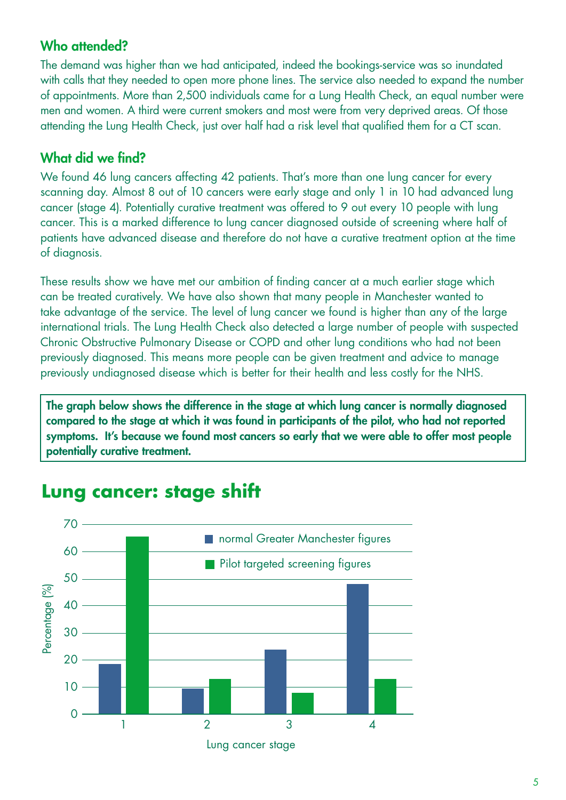### Who attended?

The demand was higher than we had anticipated, indeed the bookings-service was so inundated with calls that they needed to open more phone lines. The service also needed to expand the number of appointments. More than 2,500 individuals came for a Lung Health Check, an equal number were men and women. A third were current smokers and most were from very deprived areas. Of those attending the Lung Health Check, just over half had a risk level that qualified them for a CT scan.

### What did we find?

We found 46 lung cancers affecting 42 patients. That's more than one lung cancer for every scanning day. Almost 8 out of 10 cancers were early stage and only 1 in 10 had advanced lung cancer (stage 4). Potentially curative treatment was offered to 9 out every 10 people with lung cancer. This is a marked difference to lung cancer diagnosed outside of screening where half of patients have advanced disease and therefore do not have a curative treatment option at the time of diagnosis.

These results show we have met our ambition of finding cancer at a much earlier stage which can be treated curatively. We have also shown that many people in Manchester wanted to take advantage of the service. The level of lung cancer we found is higher than any of the large international trials. The Lung Health Check also detected a large number of people with suspected Chronic Obstructive Pulmonary Disease or COPD and other lung conditions who had not been previously diagnosed. This means more people can be given treatment and advice to manage previously undiagnosed disease which is better for their health and less costly for the NHS.

The graph below shows the difference in the stage at which lung cancer is normally diagnosed compared to the stage at which it was found in participants of the pilot, who had not reported symptoms. It's because we found most cancers so early that we were able to offer most people potentially curative treatment.



### **Lung cancer: stage shift**

Lung cancer stage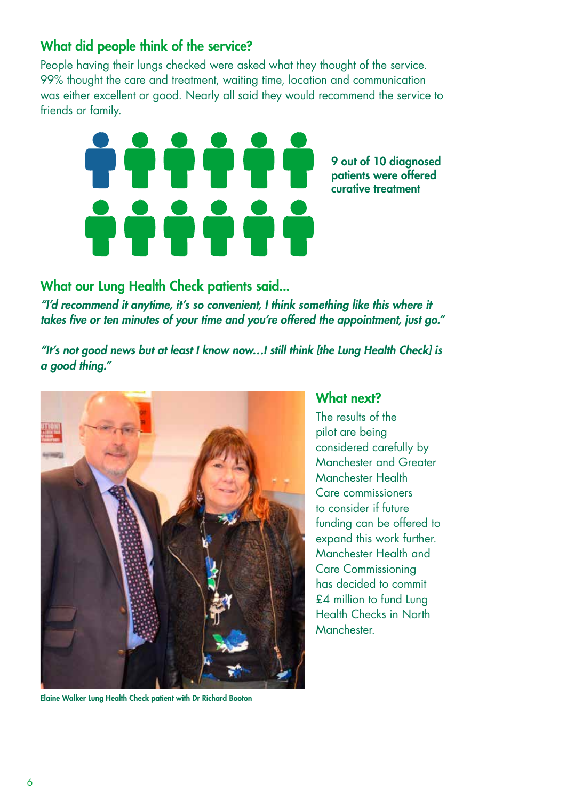### What did people think of the service?

People having their lungs checked were asked what they thought of the service. 99% thought the care and treatment, waiting time, location and communication was either excellent or good. Nearly all said they would recommend the service to friends or family.



9 out of 10 diagnosed patients were offered curative treatment

What our Lung Health Check patients said... *"I'd recommend it anytime, it's so convenient, I think something like this where it takes five or ten minutes of your time and you're offered the appointment, just go."* 

*"It's not good news but at least I know now…I still think [the Lung Health Check] is a good thing."*



Elaine Walker Lung Health Check patient with Dr Richard Booton

#### What next?

The results of the pilot are being considered carefully by Manchester and Greater Manchester Health Care commissioners to consider if future funding can be offered to expand this work further. Manchester Health and Care Commissioning has decided to commit £4 million to fund Lung Health Checks in North Manchester.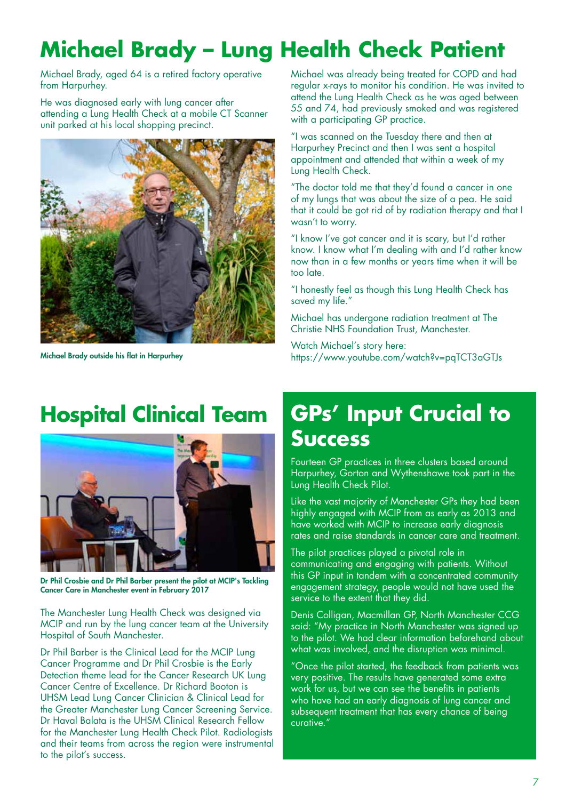## **Michael Brady – Lung Health Check Patient**

Michael Brady, aged 64 is a retired factory operative from Harpurhey.

He was diagnosed early with lung cancer after attending a Lung Health Check at a mobile CT Scanner unit parked at his local shopping precinct.



Michael Brady outside his flat in Harpurhey

Michael was already being treated for COPD and had regular x-rays to monitor his condition. He was invited to attend the Lung Health Check as he was aged between 55 and 74, had previously smoked and was registered with a participating GP practice.

"I was scanned on the Tuesday there and then at Harpurhey Precinct and then I was sent a hospital appointment and attended that within a week of my Lung Health Check.

"The doctor told me that they'd found a cancer in one of my lungs that was about the size of a pea. He said that it could be got rid of by radiation therapy and that I wasn't to worry.

"I know I've got cancer and it is scary, but I'd rather know. I know what I'm dealing with and I'd rather know now than in a few months or years time when it will be too late.

"I honestly feel as though this Lung Health Check has saved my life."

Michael has undergone radiation treatment at The Christie NHS Foundation Trust, Manchester.

Watch Michael's story here: https://www.youtube.com/watch?v=pqTCT3aGTJs

### **Hospital Clinical Team**



Dr Phil Crosbie and Dr Phil Barber present the pilot at MCIP's Tackling Cancer Care in Manchester event in February 2017

The Manchester Lung Health Check was designed via MCIP and run by the lung cancer team at the University Hospital of South Manchester.

Dr Phil Barber is the Clinical Lead for the MCIP Lung Cancer Programme and Dr Phil Crosbie is the Early Detection theme lead for the Cancer Research UK Lung Cancer Centre of Excellence. Dr Richard Booton is UHSM Lead Lung Cancer Clinician & Clinical Lead for the Greater Manchester Lung Cancer Screening Service. Dr Haval Balata is the UHSM Clinical Research Fellow for the Manchester Lung Health Check Pilot. Radiologists and their teams from across the region were instrumental to the pilot's success.

### **GPs' Input Crucial to Success**

Fourteen GP practices in three clusters based around Harpurhey, Gorton and Wythenshawe took part in the Lung Health Check Pilot.

Like the vast majority of Manchester GPs they had been highly engaged with MCIP from as early as 2013 and have worked with MCIP to increase early diagnosis rates and raise standards in cancer care and treatment.

The pilot practices played a pivotal role in communicating and engaging with patients. Without this GP input in tandem with a concentrated community engagement strategy, people would not have used the service to the extent that they did.

Denis Colligan, Macmillan GP, North Manchester CCG said: "My practice in North Manchester was signed up to the pilot. We had clear information beforehand about what was involved, and the disruption was minimal.

"Once the pilot started, the feedback from patients was very positive. The results have generated some extra work for us, but we can see the benefits in patients who have had an early diagnosis of lung cancer and subsequent treatment that has every chance of being curative."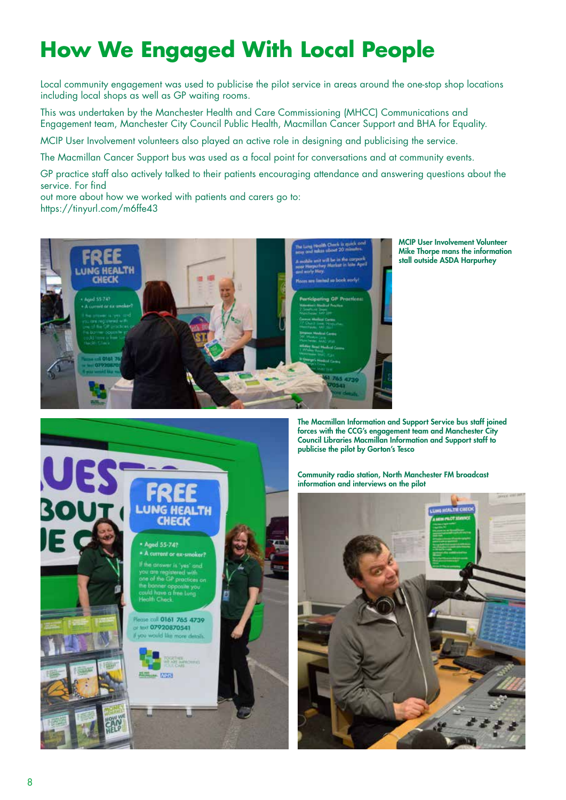## **How We Engaged With Local People**

Local community engagement was used to publicise the pilot service in areas around the one-stop shop locations including local shops as well as GP waiting rooms.

This was undertaken by the Manchester Health and Care Commissioning (MHCC) Communications and Engagement team, Manchester City Council Public Health, Macmillan Cancer Support and BHA for Equality.

MCIP User Involvement volunteers also played an active role in designing and publicising the service.

The Macmillan Cancer Support bus was used as a focal point for conversations and at community events.

GP practice staff also actively talked to their patients encouraging attendance and answering questions about the service. For find

out more about how we worked with patients and carers go to: https://tinyurl.com/m6ffe43



MCIP User Involvement Volunteer Mike Thorpe mans the information stall outside ASDA Harpurhey



The Macmillan Information and Support Service bus staff joined forces with the CCG's engagement team and Manchester City Council Libraries Macmillan Information and Support staff to publicise the pilot by Gorton's Tesco

Community radio station, North Manchester FM broadcast information and interviews on the pilot

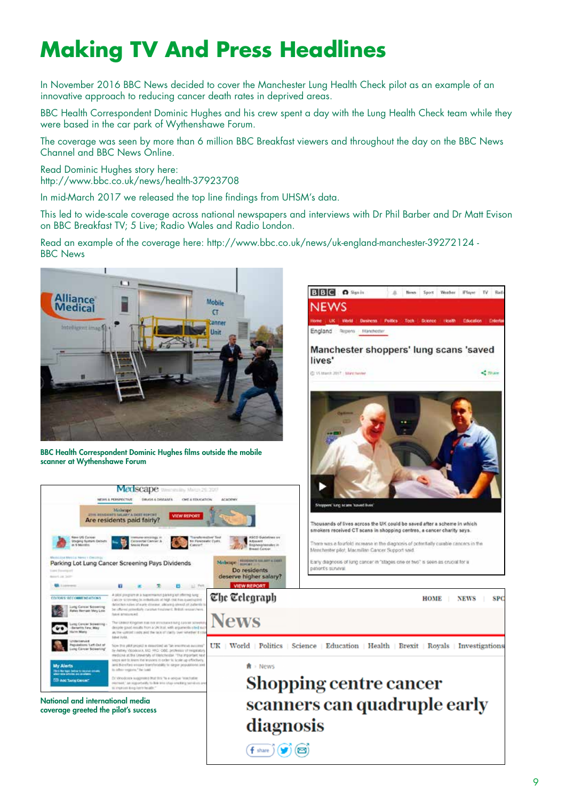## **Making TV And Press Headlines**

In November 2016 BBC News decided to cover the Manchester Lung Health Check pilot as an example of an innovative approach to reducing cancer death rates in deprived areas.

BBC Health Correspondent Dominic Hughes and his crew spent a day with the Lung Health Check team while they were based in the car park of Wythenshawe Forum.

The coverage was seen by more than 6 million BBC Breakfast viewers and throughout the day on the BBC News Channel and BBC News Online.

Read Dominic Hughes story here: http://www.bbc.co.uk/news/health-37923708

In mid-March 2017 we released the top line findings from UHSM's data.

This led to wide-scale coverage across national newspapers and interviews with Dr Phil Barber and Dr Matt Evison on BBC Breakfast TV; 5 Live; Radio Wales and Radio London.

**BBG** O Sprin

England Regions Manchester

**NEWS** 

A

News Sport Weider (Flayer TV Rad

Read an example of the coverage here: http://www.bbc.co.uk/news/uk-england-manchester-39272124 - BBC News



BBC Health Correspondent Dominic Hughes films outside the mobile scanner at Wythenshawe Forum

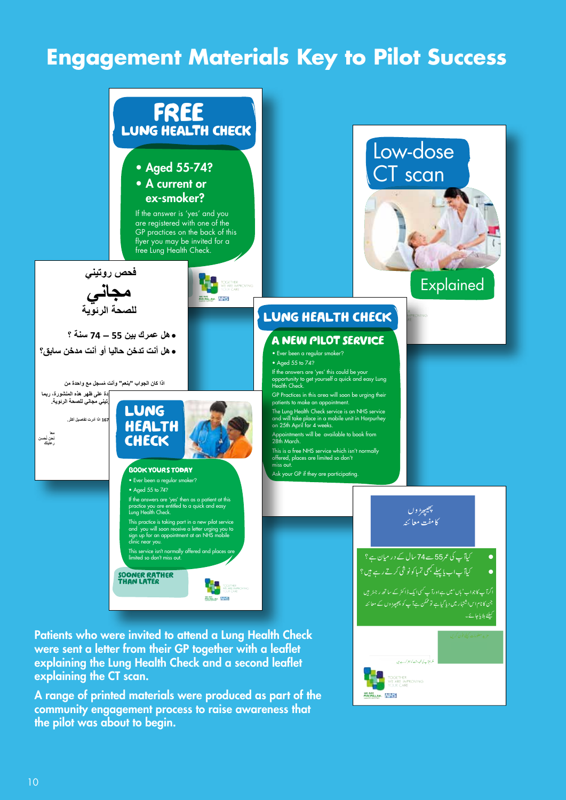### **Engagement Materials Key to Pilot Success**



A range of printed materials were produced as part of the community engagement process to raise awareness that the pilot was about to begin.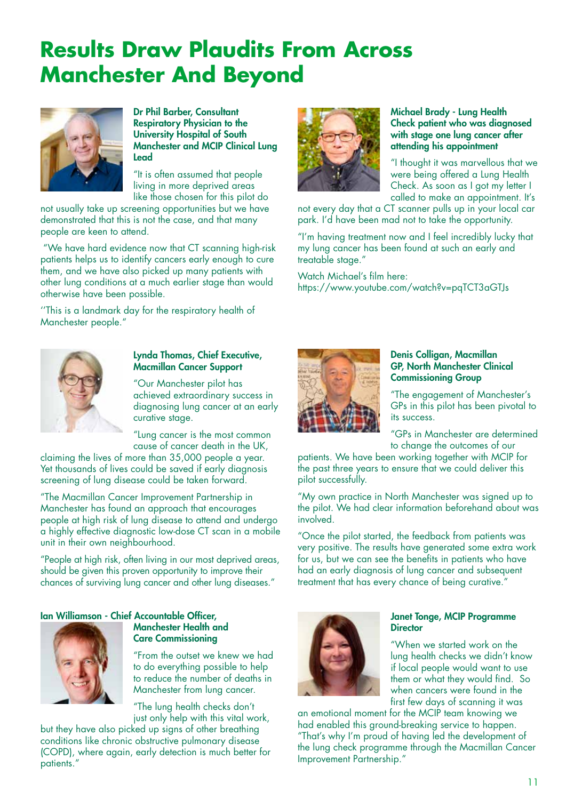### **Results Draw Plaudits From Across Manchester And Beyond**



Dr Phil Barber, Consultant Respiratory Physician to the University Hospital of South Manchester and MCIP Clinical Lung Lead

"It is often assumed that people living in more deprived areas like those chosen for this pilot do

not usually take up screening opportunities but we have demonstrated that this is not the case, and that many people are keen to attend.

 "We have hard evidence now that CT scanning high-risk patients helps us to identify cancers early enough to cure them, and we have also picked up many patients with other lung conditions at a much earlier stage than would otherwise have been possible.

''This is a landmark day for the respiratory health of Manchester people."



#### Michael Brady - Lung Health Check patient who was diagnosed with stage one lung cancer after attending his appointment

"I thought it was marvellous that we were being offered a Lung Health Check. As soon as I got my letter I called to make an appointment. It's

not every day that a CT scanner pulls up in your local car park. I'd have been mad not to take the opportunity.

"I'm having treatment now and I feel incredibly lucky that my lung cancer has been found at such an early and treatable stage."

Watch Michael's film here: https://www.youtube.com/watch?v=pqTCT3aGTJs



#### Lynda Thomas, Chief Executive, Macmillan Cancer Support

"Our Manchester pilot has achieved extraordinary success in diagnosing lung cancer at an early curative stage.

"Lung cancer is the most common cause of cancer death in the UK,

claiming the lives of more than 35,000 people a year. Yet thousands of lives could be saved if early diagnosis screening of lung disease could be taken forward.

"The Macmillan Cancer Improvement Partnership in Manchester has found an approach that encourages people at high risk of lung disease to attend and undergo a highly effective diagnostic low-dose CT scan in a mobile unit in their own neighbourhood.

"People at high risk, often living in our most deprived areas, should be given this proven opportunity to improve their chances of surviving lung cancer and other lung diseases."

#### Ian Williamson - Chief Accountable Officer,



### Manchester Health and Care Commissioning

"From the outset we knew we had to do everything possible to help to reduce the number of deaths in Manchester from lung cancer.

"The lung health checks don't just only help with this vital work,

but they have also picked up signs of other breathing conditions like chronic obstructive pulmonary disease (COPD), where again, early detection is much better for patients."



#### Denis Colligan, Macmillan GP, North Manchester Clinical Commissioning Group

"The engagement of Manchester's GPs in this pilot has been pivotal to its success.

"GPs in Manchester are determined to change the outcomes of our

patients. We have been working together with MCIP for the past three years to ensure that we could deliver this pilot successfully.

"My own practice in North Manchester was signed up to the pilot. We had clear information beforehand about was involved.

"Once the pilot started, the feedback from patients was very positive. The results have generated some extra work for us, but we can see the benefits in patients who have had an early diagnosis of lung cancer and subsequent treatment that has every chance of being curative."



#### Janet Tonge, MCIP Programme **Director**

"When we started work on the lung health checks we didn't know if local people would want to use them or what they would find. So when cancers were found in the first few days of scanning it was

an emotional moment for the MCIP team knowing we had enabled this ground-breaking service to happen. "That's why I'm proud of having led the development of the lung check programme through the Macmillan Cancer Improvement Partnership."